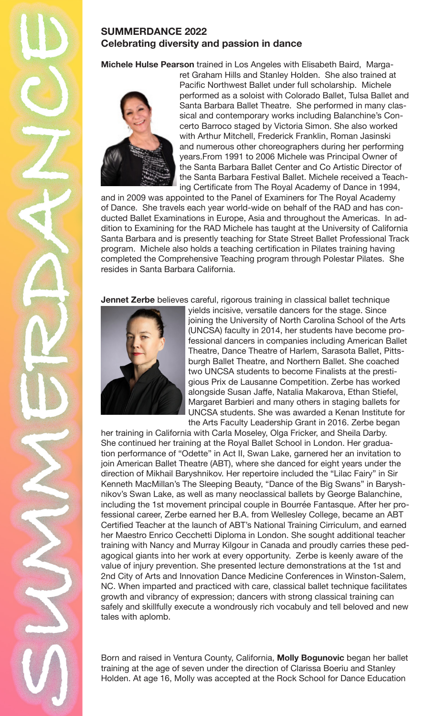

## **SUMMERDANCE 2022 Celebrating diversity and passion in dance**

**Michele Hulse Pearson** trained in Los Angeles with Elisabeth Baird, Marga-



ret Graham Hills and Stanley Holden. She also trained at Pacific Northwest Ballet under full scholarship. Michele performed as a soloist with Colorado Ballet, Tulsa Ballet and Santa Barbara Ballet Theatre. She performed in many classical and contemporary works including Balanchine's Concerto Barroco staged by Victoria Simon. She also worked with Arthur Mitchell, Frederick Franklin, Roman Jasinski and numerous other choreographers during her performing years.From 1991 to 2006 Michele was Principal Owner of the Santa Barbara Ballet Center and Co Artistic Director of the Santa Barbara Festival Ballet. Michele received a Teaching Certificate from The Royal Academy of Dance in 1994,

and in 2009 was appointed to the Panel of Examiners for The Royal Academy of Dance. She travels each year world-wide on behalf of the RAD and has conducted Ballet Examinations in Europe, Asia and throughout the Americas. In addition to Examining for the RAD Michele has taught at the University of California Santa Barbara and is presently teaching for State Street Ballet Professional Track program. Michele also holds a teaching certification in Pilates training having completed the Comprehensive Teaching program through Polestar Pilates. She resides in Santa Barbara California.

**Jennet Zerbe** believes careful, rigorous training in classical ballet technique



yields incisive, versatile dancers for the stage. Since joining the University of North Carolina School of the Arts (UNCSA) faculty in 2014, her students have become professional dancers in companies including American Ballet Theatre, Dance Theatre of Harlem, Sarasota Ballet, Pittsburgh Ballet Theatre, and Northern Ballet. She coached two UNCSA students to become Finalists at the prestigious Prix de Lausanne Competition. Zerbe has worked alongside Susan Jaffe, Natalia Makarova, Ethan Stiefel, Margaret Barbieri and many others in staging ballets for UNCSA students. She was awarded a Kenan Institute for the Arts Faculty Leadership Grant in 2016. Zerbe began

her training in California with Carla Moseley, Olga Fricker, and Sheila Darby. She continued her training at the Royal Ballet School in London. Her graduation performance of "Odette" in Act II, Swan Lake, garnered her an invitation to join American Ballet Theatre (ABT), where she danced for eight years under the direction of Mikhail Baryshnikov. Her repertoire included the "Lilac Fairy" in Sir Kenneth MacMillan's The Sleeping Beauty, "Dance of the Big Swans" in Baryshnikov's Swan Lake, as well as many neoclassical ballets by George Balanchine, including the 1st movement principal couple in Bourrée Fantasque. After her professional career, Zerbe earned her B.A. from Wellesley College, became an ABT Certified Teacher at the launch of ABT's National Training Cirriculum, and earned her Maestro Enrico Cecchetti Diploma in London. She sought additional teacher training with Nancy and Murray Kilgour in Canada and proudly carries these pedagogical giants into her work at every opportunity. Zerbe is keenly aware of the value of injury prevention. She presented lecture demonstrations at the 1st and 2nd City of Arts and Innovation Dance Medicine Conferences in Winston-Salem, NC. When imparted and practiced with care, classical ballet technique facilitates growth and vibrancy of expression; dancers with strong classical training can safely and skillfully execute a wondrously rich vocabuly and tell beloved and new tales with aplomb.

Born and raised in Ventura County, California, **Molly Bogunovic** began her ballet training at the age of seven under the direction of Clarissa Boeriu and Stanley Holden. At age 16, Molly was accepted at the Rock School for Dance Education